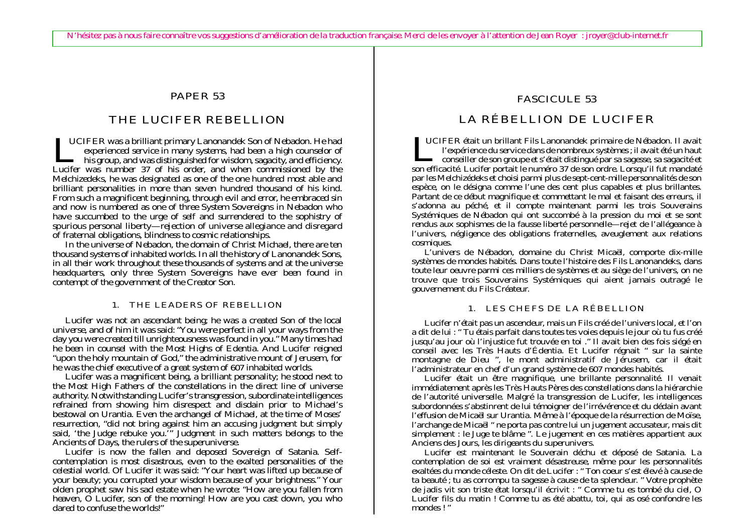## PAPER 53

# THE LUCIFER REBELLION

**EXECUTE EX WAS A brilliant primary Lanonandek Son of Nebadon. He had experienced service in many systems, had been a high counselor of his group and was distinguished for wisdom sagacity and efficiency** experienced service in many systems, had been a high counselor of his group, and was distinguished for wisdom, sagacity, and efficiency. Lucifer was number 37 of his order, and when commissioned by the Melchizedeks, he was designated as one of the one hundred most able and brilliant personalities in more than seven hundred thousand of his kind. From such a magnificent beginning, through evil and error, he embraced sin and now is numbered as one of three System Sovereigns in Nebadon who have succumbed to the urge of self and surrendered to the sophistry of spurious personal liberty—rejection of universe allegiance and disregard of fraternal obligations, blindness to cosmic relationships.

In the universe of Nebadon, the domain of Christ Michael, there are ten thousand systems of inhabited worlds. In all the history of Lanonandek Sons, in all their work throughout these thousands of systems and at the universe headquarters, only three System Sovereigns have ever been found in contempt of the government of the Creator Son.

#### 1. THE LEADERS OF REBELLION

Lucifer was not an ascendant being; he was a created Son of the local universe, and of him it was said: "You were perfect in all your ways from the day you were created till unrighteousness was found in you." Many times had he been in counsel with the Most Highs of Edentia. And Lucifer reigned "upon the holy mountain of God," the administrative mount of Jerusem, for he was the chief executive of a great system of 607 inhabited worlds.

Lucifer was a magnificent being, a brilliant personality; he stood next to the Most High Fathers of the constellations in the direct line of universe authority. Notwithstanding Lucifer's transgression, subordinate intelligences refrained from showing him disrespect and disdain prior to Michael's bestowal on Urantia. Even the archangel of Michael, at the time of Moses' resurrection, "did not bring against him an accusing judgment but simply said, 'the Judge rebuke you.'" Judgment in such matters belongs to the Ancients of Days, the rulers of the superuniverse.

Lucifer is now the fallen and deposed Sovereign of Satania. Selfcontemplation is most disastrous, even to the exalted personalities of the celestial world. Of Lucifer it was said: "Your heart was lifted up because of your beauty; you corrupted your wisdom because of your brightness." Your olden prophet saw his sad estate when he wrote: "How are you fallen from heaven, O Lucifer, son of the morning! How are you cast down, you who dared to confuse the worlds!"

## FASCICULE 53

# LA RÉBELLION DE LUCIFER

UCIFER était un brillant Fils Lanonandek primaire de Nébadon. Il avait<br>
l'expérience du service dans de nombreux systèmes ; il avait été un haut<br>
conseiller de son groupe et s'était distingué par sa sagesse, sa sagacité et l'expérience du service dans de nombreux systèmes ; il avait été un haut conseiller de son groupe et s'était distingué par sa sagesse, sa sagacité et son efficacité. Lucifer portait le numéro 37 de son ordre. Lorsqu'il fut mandaté par les Melchizédeks et choisi parmi plus de sept-cent-mille personnalités de son espèce, on le désigna comme l'une des cent plus capables et plus brillantes. Partant de ce début magnifique et commettant le mal et faisant des erreurs, il s'adonna au péché, et il compte maintenant parmi les trois Souverains Systémiques de Nébadon qui ont succombé à la pression du moi et se sont rendus aux sophismes de la fausse liberté personnelle—rejet de l'allégeance à l'univers, négligence des obligations fraternelles, aveuglement aux relations cosmiques.

L'univers de Nébadon, domaine du Christ Micaël, comporte dix-mille systèmes de mondes habités. Dans toute l'histoire des Fils Lanonandeks, dans toute leur oeuvre parmi ces milliers de systèmes et au siège de l'univers, on ne trouve que trois Souverains Systémiques qui aient jamais outragé le gouvernement du Fils Créateur.

## 1. LES CHEFS DE LA RÉBELLION

Lucifer n'était pas un ascendeur, mais un Fils créé de l'univers local, et l'on a dit de lui : " Tu étais parfait dans toutes tes voies depuis le jour où tu fus créé conseil avec les Très Hauts d'Édentia. Et Lucifer régnait " sur la sainte montagne de Dieu ", le mont administratif de Jérusem, car il était l'administrateur en chef d'un grand système de 607 mondes habités.

Lucifer était un être magnifique, une brillante personnalité. Il venait immédiatement après les Très Hauts Pères des constellations dans la hiérarchie de l'autorité universelle. Malgré la transgression de Lucifer, les intelligences subordonnées s'abstinrent de lui témoigner de l'irrévérence et du dédain avant l'effusion de Micaël sur Urantia. Même à l'époque de la résurrection de Moïse, l'archange de Micaël " ne porta pas contre lui un jugement accusateur, mais dit simplement : le Juge te blâme ". Le jugement en ces matières appartient aux Anciens des Jours, les dirigeants du superunivers.

Lucifer est maintenant le Souverain déchu et déposé de Satania. La contemplation de soi est vraiment désastreuse, même pour les personnalités exaltées du monde céleste. On dit de Lucifer : " Ton coeur s'est élevé à cause de ta beauté ; tu as corrompu ta sagesse à cause de ta splendeur. " Votre prophète de jadis vit son triste état lorsqu'il écrivit : " Comme tu es tombé du ciel, O Lucifer fils du matin ! Comme tu as été abattu, toi, qui as osé confondre les mondes ! "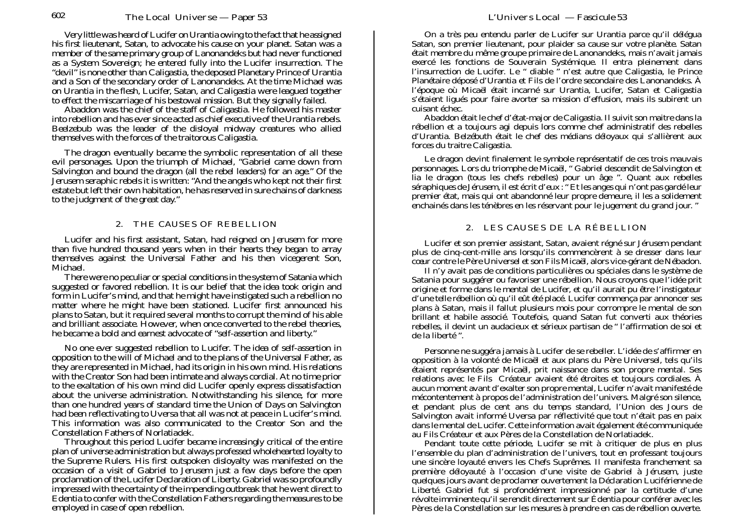Very little was heard of Lucifer on Urantia owing to the fact that he assigned his first lieutenant, Satan, to advocate his cause on your planet. Satan was a member of the same primary group of Lanonandeks but had never functioned as a System Sovereign; he entered fully into the Lucifer insurrection. The "devil" is none other than Caligastia, the deposed Planetary Prince of Urantia and a Son of the secondary order of Lanonandeks. At the time Michael was on Urantia in the flesh, Lucifer, Satan, and Caligastia were leagued together to effect the miscarriage of his bestowal mission. But they signally failed.

Abaddon was the chief of the staff of Caligastia. He followed his master into rebellion and has ever since acted as chief executive of the Urantia rebels. Beelzebub was the leader of the disloyal midway creatures who allied themselves with the forces of the traitorous Caligastia.

The dragon eventually became the symbolic representation of all these evil personages. Upon the triumph of Michael, "Gabriel came down from Salvington and bound the dragon (all the rebel leaders) for an age." Of the Jerusem seraphic rebels it is written: "And the angels who kept not their first estate but left their own habitation, he has reserved in sure chains of darkness to the judgment of the great day."

## 2. THE CAUSES OF REBELLION

Lucifer and his first assistant, Satan, had reigned on Jerusem for more than five hundred thousand years when in their hearts they began to array themselves against the Universal Father and his then vicegerent Son, Michael.

There were no peculiar or special conditions in the system of Satania which suggested or favored rebellion. It is our belief that the idea took origin and form in Lucifer's mind, and that he might have instigated such a rebellion no matter where he might have been stationed. Lucifer first announced his plans to Satan, but it required several months to corrupt the mind of his able and brilliant associate. However, when once converted to the rebel theories, he became a bold and earnest advocate of "self-assertion and liberty."

No one ever suggested rebellion to Lucifer. The idea of self-assertion in opposition to the will of Michael and to the plans of the Universal Father, as they are represented in Michael, had its origin in his own mind. His relations with the Creator Son had been intimate and always cordial. At no time prior to the exaltation of his own mind did Lucifer openly express dissatisfaction about the universe administration. Notwithstanding his silence, for more than one hundred years of standard time the Union of Days on Salvington had been reflectivating to Uversa that all was not at peace in Lucifer's mind. This information was also communicated to the Creator Son and the Constellation Fathers of Norlatiadek.

Throughout this period Lucifer became increasingly critical of the entire plan of universe administration but always professed wholehearted loyalty to the Supreme Rulers. His first outspoken disloyalty was manifested on the occasion of a visit of Gabriel to Jerusem just a few days before the open proclamation of the Lucifer Declaration of Liberty. Gabriel was so profoundly impressed with the certainty of the impending outbreak that he went direct to Edentia to confer with the Constellation Fathers regarding the measures to be employed in case of open rebellion.

## <sup>602</sup> The Local Universe — *Paper <sup>53</sup>* L'Univers Local — *Fascicule <sup>53</sup>*

On a très peu entendu parler de Lucifer sur Urantia parce qu'il délégua Satan, son premier lieutenant, pour plaider sa cause sur votre planète. Satan était membre du même groupe primaire de Lanonandeks, mais n'avait jamais exercé les fonctions de Souverain Systémique. Il entra pleinement dans<br>l'insurrection de Lucifer. Le " diable " n'est autre que Caligastia, le Prince Planétaire déposé d'Urantia et Fils de l'ordre secondaire des Lanonandeks. À l'époque où Micaël était incarné sur Urantia, Lucifer, Satan et Caligastia s'étaient ligués pour faire avorter sa mission d'effusion, mais ils subirent un cuisant échec.

Abaddon était le chef d'état-major de Caligastia. Il suivit son maitre dans la rébellion et a toujours agi depuis lors comme chef administratif des rebelles d'Urantia. Belzébuth était le chef des médians déloyaux qui s'allièrent aux forces du traitre Caligastia.

Le dragon devint finalement le symbole représentatif de ces trois mauvais personnages. Lors du triomphe de Micaël, " Gabriel descendit de Salvington et lia le dragon (tous les chefs rebelles) pour un âge ". Quant aux rebelles séraphiques de Jérusem, il est écrit d'eux : "Et les anges qui n'ont pas gardé leur premier état, mais qui ont abandonné leur propre demeure, il les a solidement enchainés dans les ténèbres en les réservant pour le jugement du grand jour. "

### 2. LES CAUSES DE LA RÉBELLION

Lucifer et son premier assistant, Satan, avaient régné sur Jérusem pendant plus de cinq-cent-mille ans lorsqu'ils commencèrent à se dresser dans leur cœur contre le Père Universel et son Fils Micaël, alors vice-gérant de Nébadon.

Il n'y avait pas de conditions particulières ou spéciales dans le système de Satania pour suggérer ou favoriser une rébellion. Nous croyons que l'idée prit origine et forme dans le mental de Lucifer, et qu'il aurait pu être l'instigateur d'une telle rébellion où qu'il eût été placé. Lucifer commença par annoncer ses plans à Satan, mais il fallut plusieurs mois pour corrompre le mental de son brillant et habile associé. Toutefois, quand Satan fut converti aux théories rebelles, il devint un audacieux et sérieux partisan de " l'affirmation de soi et de la liberté ".

Personne ne suggéra jamais à Lucifer de se rebeller. L'idée de s'affirmer en opposition à la volonté de Micaël et aux plans du Père Universel, tels qu'ils étaient représentés par Micaël, prit naissance dans son propre mental. Ses relations avec le Fils Créateur avaient été étroites et toujours cordiales. À aucun moment avant d'exalter son propre mental, Lucifer n'avait manifesté de mécontentement à propos de l'administration de l'univers. Malgré son silence, et pendant plus de cent ans du temps standard, l'Union des Jours de Salvington avait informé Uversa par réflectivité que tout n'était pas en paix dans le mental de Lucifer. Cette information avait également été communiquée au Fils Créateur et aux Pères de la Constellation de Norlatiadek.

Pendant toute cette période, Lucifer se mit à critiquer de plus en plus l'ensemble du plan d'administration de l'univers, tout en professant toujours une sincère loyauté envers les Chefs Suprêmes. Il manifesta franchement sa première déloyauté à l'occasion d'une visite de Gabriel à Jérusem, juste quelques jours avant de proclamer ouvertement la Déclaration Luciférienne de Liberté. Gabriel fut si profondément impressionné par la certitude d'une révolte imminente qu'il se rendit directement sur Édentia pour conférer avec les Pères de la Constellation sur les mesures à prendre en cas de rébellion ouverte.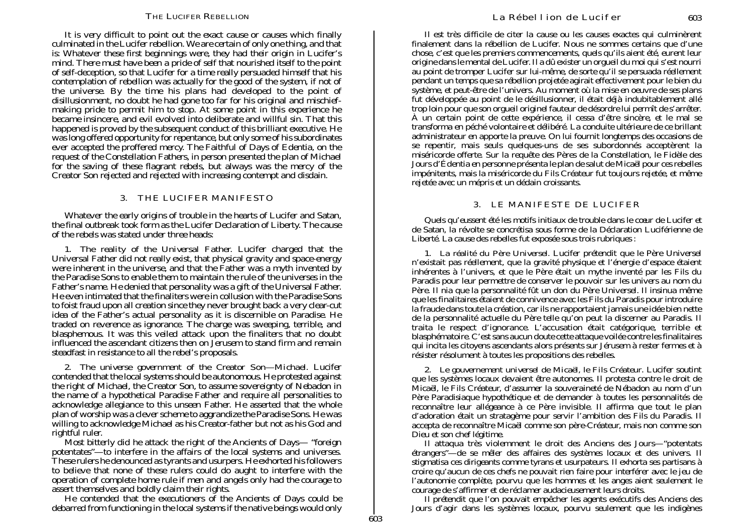It is very difficult to point out the exact cause or causes which finally culminated in the Lucifer rebellion. We are certain of only one thing, and that is: Whatever these first beginnings were, they had their origin in Lucifer's mind. There must have been a pride of self that nourished itself to the point of self-deception, so that Lucifer for a time really persuaded himself that his contemplation of rebellion was actually for the good of the system, if not of the universe. By the time his plans had developed to the point of disillusionment, no doubt he had gone too far for his original and mischiefmaking pride to permit him to stop. At some point in this experience he became insincere, and evil evolved into deliberate and willful sin. That this happened is proved by the subsequent conduct of this brilliant executive. He was long offered opportunity for repentance, but only some of his subordinates ever accepted the proffered mercy. The Faithful of Days of Edentia, on the request of the Constellation Fathers, in person presented the plan of Michael for the saving of these flagrant rebels, but always was the mercy of the Creator Son rejected and rejected with increasing contempt and disdain.

#### 3. THE LUCIFER MANIFESTO

Whatever the early origins of trouble in the hearts of Lucifer and Satan, the final outbreak took form as the Lucifer Declaration of Liberty. The cause of the rebels was stated under three heads:

1. *The reality of the Universal Father.* Lucifer charged that the Universal Father did not really exist, that physical gravity and space-energy were inherent in the universe, and that the Father was a myth invented by the Paradise Sons to enable them to maintain the rule of the universes in the Father's name. He denied that personality was a gift of the Universal Father. He even intimated that the finaliters were in collusion with the Paradise Sons to foist fraud upon all creation since they never brought back a very clear-cut idea of the Father's actual personality as it is discernible on Paradise. He traded on reverence as ignorance. The charge was sweeping, terrible, and blasphemous. It was this veiled attack upon the finaliters that no doubt influenced the ascendant citizens then on Jerusem to stand firm and remain steadfast in resistance to all the rebel's proposals.

2. *The universe government of the Creator Son—Michael.* Lucifer contended that the local systems should be autonomous. He protested against the right of Michael, the Creator Son, to assume sovereignty of Nebadon in the name of a hypothetical Paradise Father and require all personalities to acknowledge allegiance to this unseen Father. He asserted that the whole plan of worship was a clever scheme to aggrandize the Paradise Sons. He was willing to acknowledge Michael as his Creator-father but not as his God and rightful ruler.

Most bitterly did he attack the right of the Ancients of Days— "foreign potentates"—to interfere in the affairs of the local systems and universes. These rulers he denounced as tyrants and usurpers. He exhorted his followers to believe that none of these rulers could do aught to interfere with the operation of complete home rule if men and angels only had the courage to assert themselves and boldly claim their rights.

He contended that the executioners of the Ancients of Days could be debarred from functioning in the local systems if the native beings would only

Il est très difficile de citer la cause ou les causes exactes qui culminèrent finalement dans la rébellion de Lucifer. Nous ne sommes certains que d'une chose, c'est que les premiers commencements, quels qu'ils aient été, eurent leur origine dans le mental de Lucifer. Il a dû exister un orgueil du moi qui s'est nourri au point de tromper Lucifer sur lui-même, de sorte qu'il se persuada réellement pendant un temps que sa rébellion projetée agirait effectivement pour le bien du système, et peut-être de l'univers. Au moment où la mise en oeuvre de ses plans fut développée au point de le désillusionner, il était déjà indubitablement allé trop loin pour que son orgueil originel fauteur de désordre lui permît de s'arrêter. À un certain point de cette expérience, il cessa d'être sincère, et le mal se transforma en péché volontaire et délibéré. La conduite ultérieure de ce brillant administrateur en apporte la preuve. On lui fournit longtemps des occasions de se repentir, mais seuls quelques-uns de ses subordonnés acceptèrent la miséricorde offerte. Sur la requête des Pères de la Constellation, le Fidèle des Jours d'Édentia en personne présenta le plan de salut de Micaël pour ces rebelles impénitents, mais la miséricorde du Fils Créateur fut toujours rejetée, et même rejetée avec un mépris et un dédain croissants.

#### 3. LE MANIFESTE DE LUCIFER

Quels qu'eussent été les motifs initiaux de trouble dans le cœur de Lucifer et de Satan, la révolte se concrétisa sous forme de la Déclaration Luciférienne de Liberté. La cause des rebelles fut exposée sous trois rubriques :

1. *La réalité du Père Universel.* Lucifer prétendit que le Père Universel n'existait pas réellement, que la gravité physique et l'énergie d'espace étaient inhérentes à l'univers, et que le Père était un mythe inventé par les Fils du Paradis pour leur permettre de conserver le pouvoir sur les univers au nom du Père. Il nia que la personnalité fût un don du Père Universel. Il insinua même que les finalitaires étaient de connivence avec les Fils du Paradis pour introduire la fraude dans toute la création, car ils ne rapportaient jamais une idée bien nette de la personnalité actuelle du Père telle qu'on peut la discerner au Paradis. Il traita le respect d'ignorance. L'accusation était catégorique, terrible et blasphématoire. C'est sans aucun doute cette attaque voilée contre les finalitaires qui incita les citoyens ascendants alors présents sur Jérusem à rester fermes et à résister résolument à toutes les propositions des rebelles.

2. *Le gouvernement universel de Micaël, le Fils Créateur*. Lucifer soutint que les systèmes locaux devaient être autonomes. Il protesta contre le droit de Micaël, le Fils Créateur, d'assumer la souveraineté de Nébadon au nom d'un Père Paradisiaque hypothétique et de demander à toutes les personnalités de reconnaître leur allégeance à ce Père invisible. Il affirma que tout le plan d'adoration était un stratagème pour servir l'ambition des Fils du Paradis. Il accepta de reconnaître Micaël comme son père-Créateur, mais non comme son Dieu et son chef légitime.

Il attaqua très violemment le droit des Anciens des Jours—"potentats étrangers"—de se mêler des affaires des systèmes locaux et des univers. Il stigmatisa ces dirigeants comme tyrans et usurpateurs. Il exhorta ses partisans à croire qu'aucun de ces chefs ne pouvait rien faire pour interférer avec le jeu de l'autonomie complète, pourvu que les hommes et les anges aient seulement le courage de s'affirmer et de réclamer audacieusement leurs droits.

Il prétendit que l'on pouvait empêcher les agents exécutifs des Anciens des Jours d'agir dans les systèmes locaux, pourvu seulement que les indigènes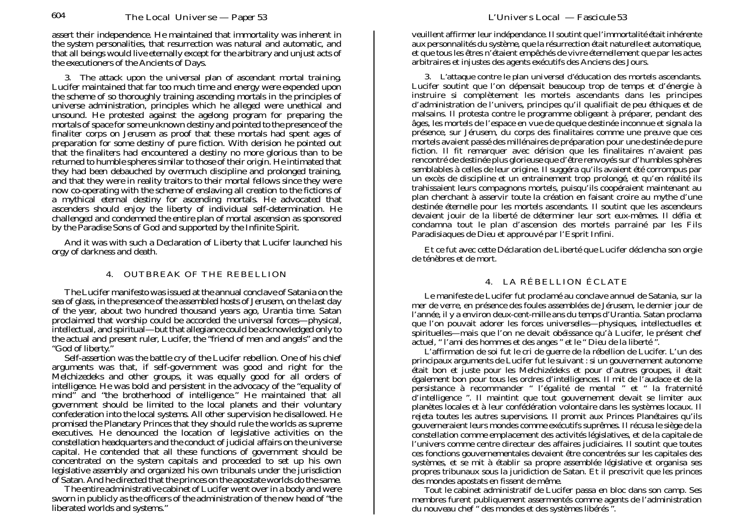assert their independence. He maintained that immortality was inherent in the system personalities, that resurrection was natural and automatic, and that all beings would live eternally except for the arbitrary and unjust acts of the executioners of the Ancients of Days.

3. *The attack upon the universal plan of ascendant mortal training.* Lucifer maintained that far too much time and energy were expended upon the scheme of so thoroughly training ascending mortals in the principles of universe administration, principles which he alleged were unethical and unsound. He protested against the agelong program for preparing the mortals of space for some unknown destiny and pointed to the presence of the finaliter corps on Jerusem as proof that these mortals had spent ages of preparation for some destiny of pure fiction. With derision he pointed out that the finaliters had encountered a destiny no more glorious than to be returned to humble spheres similar to those of their origin. He intimated that they had been debauched by overmuch discipline and prolonged training, and that they were in reality traitors to their mortal fellows since they were now co-operating with the scheme of enslaving all creation to the fictions of a mythical eternal destiny for ascending mortals. He advocated that ascenders should enjoy the liberty of individual self-determination. He challenged and condemned the entire plan of mortal ascension as sponsored by the Paradise Sons of God and supported by the Infinite Spirit.

And it was with such a Declaration of Liberty that Lucifer launched his orgy of darkness and death.

## 4. OUTBREAK OF THE REBELLION

The Lucifer manifesto was issued at the annual conclave of Satania on the sea of glass, in the presence of the assembled hosts of Jerusem, on the last day of the year, about two hundred thousand years ago, Urantia time. Satan proclaimed that worship could be accorded the universal forces—physical, intellectual, and spiritual—but that allegiance could be acknowledged only to the actual and present ruler, Lucifer, the "friend of men and angels" and the "God of liberty."

Self-assertion was the battle cry of the Lucifer rebellion. One of his chief arguments was that, if self-government was good and right for the Melchizedeks and other groups, it was equally good for all orders of intelligence. He was bold and persistent in the advocacy of the "equality of mind" and "the brotherhood of intelligence." He maintained that all government should be limited to the local planets and their voluntary confederation into the local systems. All other supervision he disallowed. He promised the Planetary Princes that they should rule the worlds as supreme executives. He denounced the location of legislative activities on the constellation headquarters and the conduct of judicial affairs on the universe capital. He contended that all these functions of government should be concentrated on the system capitals and proceeded to set up his own legislative assembly and organized his own tribunals under the jurisdiction of Satan. And he directed that the princes on the apostate worlds do the same.

The entire administrative cabinet of Lucifer went over in a body and were sworn in publicly as the officers of the administration of the new head of "the liberated worlds and systems."

veuillent affirmer leur indépendance. Il soutint que l'immortalité était inhérente aux personnalités du système, que la résurrection était naturelle et automatique, et que tous les êtres n'étaient empêchés de vivre éternellement que par les actes arbitraires et injustes des agents exécutifs des Anciens des Jours.

3. *L'attaque contre le plan universel d'éducation des mortels ascendants*. Lucifer soutint que l'on dépensait beaucoup trop de temps et d'énergie à instruire si complètement les mortels ascendants dans les principes d'administration de l'univers, principes qu'il qualifiait de peu éthiques et de malsains. Il protesta contre le programme obligeant à préparer, pendant des âges, les mortels de l'espace en vue de quelque destinée inconnue et signala la présence, sur Jérusem, du corps des finalitaires comme une preuve que ces mortels avaient passé des millénaires de préparation pour une destinée de pure fiction. Il fit remarquer avec dérision que les finalitaires n'avaient pas rencontré de destinée plus glorieuse que d'être renvoyés sur d'humbles sphères semblables à celles de leur origine. Il suggéra qu'ils avaient été corrompus par un excès de discipline et un entrainement trop prolongé, et qu'en réalité ils trahissaient leurs compagnons mortels, puisqu'ils coopéraient maintenant au plan cherchant à asservir toute la création en faisant croire au mythe d'une destinée éternelle pour les mortels ascendants. Il soutint que les ascendeurs devaient jouir de la liberté de déterminer leur sort eux-mêmes. Il défia et condamna tout le plan d'ascension des mortels parrainé par les Fils Paradisiaques de Dieu et approuvé par l'Esprit Infini.

Et ce fut avec cette Déclaration de Liberté que Lucifer déclencha son orgie de ténèbres et de mort.

## 4. LA RÉBELLION ÉCLATE

Le manifeste de Lucifer fut proclamé au conclave annuel de Satania, sur la mer de verre, en présence des foules assemblées de Jérusem, le dernier jour de l'année, il y a environ deux-cent-mille ans du temps d'Urantia. Satan proclama que l'on pouvait adorer les forces universelles—physiques, intellectuelles et spirituelles—mais que l'on ne devait obéissance qu'à Lucifer, le présent chef actuel, " l'ami des hommes et des anges " et le " Dieu de la liberté ".

L'affirmation de soi fut le cri de guerre de la rébellion de Lucifer. L'un des principaux arguments de Lucifer fut le suivant : si un gouvernement autonome était bon et juste pour les Melchizédeks et pour d'autres groupes, il était également bon pour tous les ordres d'intelligences. Il mit de l'audace et de la persistance à recommander " l'égalité de mental " et " la fraternité d'intelligence ". Il maintint que tout gouvernement devait se limiter aux planètes locales et à leur confédération volontaire dans les systèmes locaux. Il rejeta toutes les autres supervisions. Il promit aux Princes Planétaires qu'ils gouverneraient leurs mondes comme exécutifs suprêmes. Il récusa le siège de la constellation comme emplacement des activités législatives, et de la capitale de l'univers comme centre directeur des affaires judiciaires. Il soutint que toutes ces fonctions gouvernementales devaient être concentrées sur les capitales des systèmes, et se mit à établir sa propre assemblée législative et organisa ses propres tribunaux sous la juridiction de Satan. Et il prescrivit que les princes des mondes apostats en fissent de même.

Tout le cabinet administratif de Lucifer passa en bloc dans son camp. Ses membres furent publiquement assermentés comme agents de l'administration du nouveau chef " des mondes et des systèmes libérés ".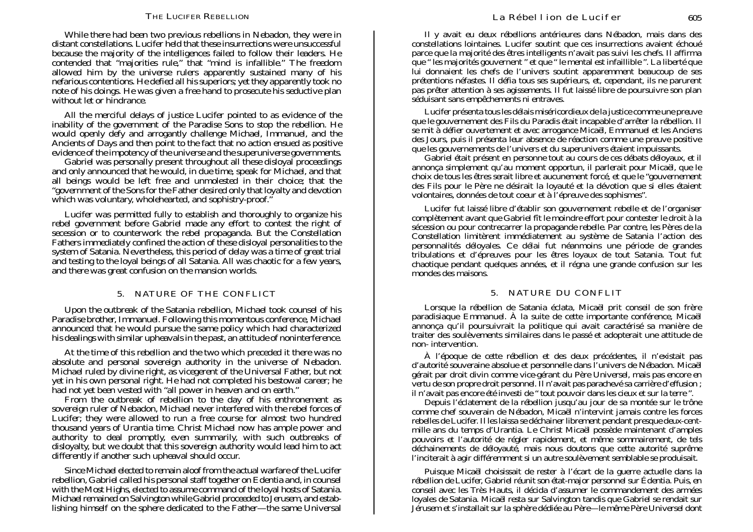While there had been two previous rebellions in Nebadon, they were in distant constellations. Lucifer held that these insurrections were unsuccessful because the majority of the intelligences failed to follow their leaders. He contended that "majorities rule," that "mind is infallible." The freedom allowed him by the universe rulers apparently sustained many of his nefarious contentions. He defied all his superiors; yet they apparently took no note of his doings. He was given a free hand to prosecute his seductive plan without let or hindrance.

All the merciful delays of justice Lucifer pointed to as evidence of the inability of the government of the Paradise Sons to stop the rebellion. He would openly defy and arrogantly challenge Michael, Immanuel, and the Ancients of Days and then point to the fact that no action ensued as positive evidence of the impotency of the universe and the superuniverse governments.

Gabriel was personally present throughout all these disloyal proceedings and only announced that he would, in due time, speak for Michael, and that all beings would be left free and unmolested in their choice; that the "government of the Sons for the Father desired only that loyalty and devotion which was voluntary, wholehearted, and sophistry-proof."

Lucifer was permitted fully to establish and thoroughly to organize his rebel government before Gabriel made any effort to contest the right of secession or to counterwork the rebel propaganda. But the Constellation Fathers immediately confined the action of these disloyal personalities to the system of Satania. Nevertheless, this period of delay was a time of great trial and testing to the loyal beings of all Satania. All was chaotic for a few years, and there was great confusion on the mansion worlds.

#### 5. NATURE OF THE CONFLICT

Upon the outbreak of the Satania rebellion, Michael took counsel of his Paradise brother, Immanuel. Following this momentous conference, Michael announced that he would pursue the same policy which had characterized his dealings with similar upheavals in the past, an attitude of noninterference.

At the time of this rebellion and the two which preceded it there was no absolute and personal sovereign authority in the universe of Nebadon. Michael ruled by divine right, as vicegerent of the Universal Father, but not yet in his own personal right. He had not completed his bestowal career; he had not yet been vested with "all power in heaven and on earth."

From the outbreak of rebellion to the day of his enthronement as sovereign ruler of Nebadon, Michael never interfered with the rebel forces of Lucifer; they were allowed to run a free course for almost two hundred thousand years of Urantia time. Christ Michael now has ample power and authority to deal promptly, even summarily, with such outbreaks of disloyalty, but we doubt that this sovereign authority would lead him to act differently if another such upheaval should occur.

Since Michael elected to remain aloof from the actual warfare of the Lucifer rebellion, Gabriel called his personal staff together on Edentia and, in counsel with the Most Highs, elected to assume command of the loyal hosts of Satania. Michael remained on Salvington while Gabriel proceeded to Jerusem, and establishing himself on the sphere dedicated to the Father—the same Universal

Il y avait eu deux rébellions antérieures dans Nébadon, mais dans des constellations lointaines. Lucifer soutint que ces insurrections avaient échoué parce que la majorité des êtres intelligents n'avait pas suivi les chefs. Il affirma que " les majorités gouvernent " et que " le mental est infaillible ". La liberté que lui donnaient les chefs de l'univers soutint apparemment beaucoup de ses prétentions néfastes. Il défia tous ses supérieurs, et, cependant, ils ne parurent pas prêter attention à ses agissements. Il fut laissé libre de poursuivre son plan séduisant sans empêchements ni entraves.

Lucifer présenta tous les délais miséricordieux de la justice comme une preuve que le gouvernement des Fils du Paradis était incapable d'arrêter la rébellion. Il se mit à défier ouvertement et avec arrogance Micaël, Emmanuel et les Anciens des Jours, puis il présenta leur absence de réaction comme une preuve positive que les gouvernements de l'univers et du superunivers étaient impuissants.

Gabriel était présent en personne tout au cours de ces débats déloyaux, et il annonça simplement qu'au moment opportun, il parlerait pour Micaël, que le choix de tous les êtres serait libre et aucunement forcé, et que le "gouvernement des Fils pour le Père ne désirait la loyauté et la dévotion que si elles étaient volontaires, données de tout coeur et à l'épreuve des sophismes".

Lucifer fut laissé libre d'établir son gouvernement rebelle et de l'organiser complètement avant que Gabriel fît le moindre effort pour contester le droit à la sécession ou pour contrecarrer la propagande rebelle. Par contre, les Pères de la Constellation limitèrent immédiatement au système de Satania l'action des personnalités déloyales. Ce délai fut néanmoins une période de grandes tribulations et d'épreuves pour les êtres loyaux de tout Satania. Tout fut chaotique pendant quelques années, et il régna une grande confusion sur les mondes des maisons.

#### 5. NATURE DU CONFLIT

Lorsque la rébellion de Satania éclata, Micaël prit conseil de son frère paradisiaque Emmanuel. À la suite de cette importante conférence, Micaël annonça qu'il poursuivrait la politique qui avait caractérisé sa manière de traiter des soulèvements similaires dans le passé et adopterait une attitude de non- intervention.

À l'époque de cette rébellion et des deux précédentes, il n'existait pas d'autorité souveraine absolue et personnelle dans l'univers de Nébadon. Micaël gérait par droit divin comme vice-gérant du Père Universel, mais pas encore en vertu de son propre droit personnel. Il n'avait pas parachevé sa carrière d'effusion ; il n'avait pas encore été investi de " tout pouvoir dans les cieux et sur la terre ".

Depuis l'éclatement de la rébellion jusqu'au jour de sa montée sur le trône comme chef souverain de Nébadon, Micaël n'intervint jamais contre les forces rebelles de Lucifer. Il les laissa se déchainer librement pendant presque deux-centmille ans du temps d'Urantia. Le Christ Micaël possède maintenant d'amples pouvoirs et l'autorité de régler rapidement, et même sommairement, de tels déchainements de déloyauté, mais nous doutons que cette autorité suprême l'inciterait à agir différemment si un autre soulèvement semblable se produisait.

Puisque Micaël choisissait de rester à l'écart de la guerre actuelle dans la rébellion de Lucifer, Gabriel réunit son état-major personnel sur Édentia. Puis, en conseil avec les Très Hauts, il décida d'assumer le commandement des armées loyales de Satania. Micaël resta sur Salvington tandis que Gabriel se rendait sur Jérusem et s'installait sur la sphère dédiée au Père—le même Père Universel dont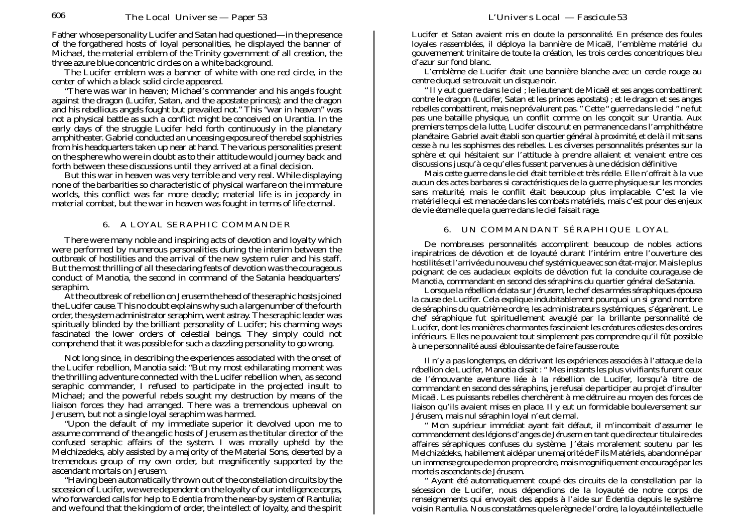Father whose personality Lucifer and Satan had questioned—in the presence of the forgathered hosts of loyal personalities, he displayed the banner of Michael, the material emblem of the Trinity government of all creation, the three azure blue concentric circles on a white background.

The Lucifer emblem was a banner of white with one red circle, in the center of which a black solid circle appeared.

"There was war in heaven; Michael's commander and his angels fought against the dragon (Lucifer, Satan, and the apostate princes); and the dragon and his rebellious angels fought but prevailed not." This "war in heaven" was not a physical battle as such a conflict might be conceived on Urantia. In the early days of the struggle Lucifer held forth continuously in the planetary amphitheater. Gabriel conducted an unceasing exposure of the rebel sophistries from his headquarters taken up near at hand. The various personalities present on the sphere who were in doubt as to their attitude would journey back and forth between these discussions until they arrived at a final decision.

But this war in heaven was very terrible and very real. While displaying none of the barbarities so characteristic of physical warfare on the immature worlds, this conflict was far more deadly; material life is in jeopardy in material combat, but the war in heaven was fought in terms of life eternal.

## 6. A LOYAL SERAPHIC COMMANDER

There were many noble and inspiring acts of devotion and loyalty which were performed by numerous personalities during the interim between the outbreak of hostilities and the arrival of the new system ruler and his staff. But the most thrilling of all these daring feats of devotion was the courageous conduct of Manotia, the second in command of the Satania headquarters' seraphim.

At the outbreak of rebellion on Jerusem the head of the seraphic hosts joined the Lucifer cause. This no doubt explains why such a large number of the fourth order, the system administrator seraphim, went astray. The seraphic leader was spiritually blinded by the brilliant personality of Lucifer; his charming ways fascinated the lower orders of celestial beings. They simply could not comprehend that it was possible for such a dazzling personality to go wrong.

Not long since, in describing the experiences associated with the onset of the Lucifer rebellion, Manotia said: "But my most exhilarating moment was the thrilling adventure connected with the Lucifer rebellion when, as second seraphic commander, I refused to participate in the projected insult to Michael; and the powerful rebels sought my destruction by means of the liaison forces they had arranged. There was a tremendous upheaval on Jerusem, but not a single loyal seraphim was harmed.

"Upon the default of my immediate superior it devolved upon me to assume command of the angelic hosts of Jerusem as the titular director of the confused seraphic affairs of the system. I was morally upheld by the Melchizedeks, ably assisted by a majority of the Material Sons, deserted by a tremendous group of my own order, but magnificently supported by the ascendant mortals on Jerusem.

"Having been automatically thrown out of the constellation circuits by the secession of Lucifer, we were dependent on the loyalty of our intelligence corps, who forwarded calls for help to Edentia from the near-by system of Rantulia; and we found that the kingdom of order, the intellect of loyalty, and the spirit Lucifer et Satan avaient mis en doute la personnalité. En présence des foules loyales rassemblées, il déploya la bannière de Micaël, l'emblème matériel du gouvernement trinitaire de toute la création, les trois cercles concentriques bleu d'azur sur fond blanc.

L'emblème de Lucifer était une bannière blanche avec un cercle rouge au centre duquel se trouvait un disque noir.

" Il y eut guerre dans le ciel ; le lieutenant de Micaël et ses anges combattirent contre le dragon (Lucifer, Satan et les princes apostats) ; et le dragon et ses anges rebelles combattirent, mais ne prévalurent pas. " Cette " guerre dans le ciel " ne fut pas une bataille physique, un conflit comme on les conçoit sur Urantia. Aux premiers temps de la lutte, Lucifer discourut en permanence dans l'amphithéatre planétaire. Gabriel avait établi son quartier général à proximité, et de là il mit sans cesse à nu les sophismes des rebelles. Les diverses personnalités présentes sur la sphère et qui hésitaient sur l'attitude à prendre allaient et venaient entre ces discussions jusqu'à ce qu'elles fussent parvenues à une décision définitive.

Mais cette guerre dans le ciel était terrible et très réelle. Elle n'offrait à la vue aucun des actes barbares si caractéristiques de la guerre physique sur les mondes sans maturité, mais le conflit était beaucoup plus implacable. C'est la vie matérielle qui est menacée dans les combats matériels, mais c'est pour des enjeux de vie éternelle que la guerre dans le ciel faisait rage.

## 6. UN COMMANDANT SÉRAPHIQUE LOYAL

De nombreuses personnalités accomplirent beaucoup de nobles actions inspiratrices de dévotion et de loyauté durant l'intérim entre l'ouverture des hostilités et l'arrivée du nouveau chef systémique avec son état-major. Mais le plus poignant de ces audacieux exploits de dévotion fut la conduite courageuse de Manotia, commandant en second des séraphins du quartier général de Satania.

Lorsque la rébellion éclata sur Jérusem, le chef des armées séraphiques épousa la cause de Lucifer. Cela explique indubitablement pourquoi un si grand nombre de séraphins du quatrième ordre, les administrateurs systémiques, s'égarèrent. Le chef séraphique fut spirituellement aveuglé par la brillante personnalité de Lucifer, dont les manières charmantes fascinaient les créatures célestes des ordres inférieurs. Elles ne pouvaient tout simplement pas comprendre qu'il fût possible à une personnalité aussi éblouissante de faire fausse route.

Il n'y a pas longtemps, en décrivant les expériences associées à l'attaque de la rébellion de Lucifer, Manotia disait : " Mes instants les plus vivifiants furent ceux de l'émouvante aventure liée à la rébellion de Lucifer, lorsqu'à titre de commandant en second des séraphins, je refusai de participer au projet d'insulter Micaël. Les puissants rebelles cherchèrent à me détruire au moyen des forces de liaison qu'ils avaient mises en place. Il y eut un formidable bouleversement sur Jérusem, mais nul séraphin loyal n'eut de mal.

" Mon supérieur immédiat ayant fait défaut, il m'incombait d'assumer le commandement des légions d'anges de Jérusem en tant que directeur titulaire des affaires séraphiques confuses du système. J'étais moralement soutenu par les Melchizédeks, habilement aidé par une majorité de Fils Matériels, abandonné par un immense groupe de mon propre ordre, mais magnifiquement encouragé par les mortels ascendants de Jérusem.

" Ayant été automatiquement coupé des circuits de la constellation par la sécession de Lucifer, nous dépendions de la loyauté de notre corps de renseignements qui envoyait des appels à l'aide sur Édentia depuis le système voisin Rantulia. Nous constatâmes que le règne de l'ordre, la loyauté intellectuelle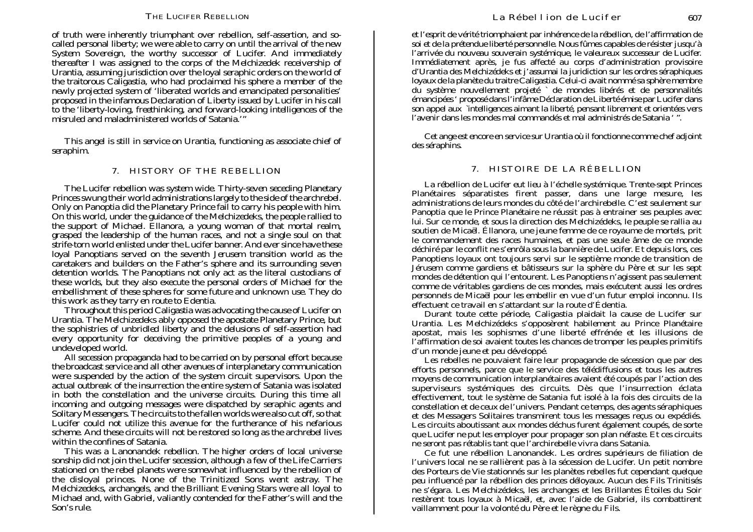of truth were inherently triumphant over rebellion, self-assertion, and socalled personal liberty; we were able to carry on until the arrival of the new System Sovereign, the worthy successor of Lucifer. And immediately thereafter I was assigned to the corps of the Melchizedek receivership of Urantia, assuming jurisdiction over the loyal seraphic orders on the world of the traitorous Caligastia, who had proclaimed his sphere a member of the newly projected system of 'liberated worlds and emancipated personalities' proposed in the infamous Declaration of Liberty issued by Lucifer in his call to the 'liberty-loving, freethinking, and forward-looking intelligences of the misruled and maladministered worlds of Satania.'"

This angel is still in service on Urantia, functioning as associate chief of seraphim.

#### 7. HISTORY OF THE REBELLION

The Lucifer rebellion was system wide. Thirty-seven seceding Planetary Princes swung their world administrations largely to the side of the archrebel. Only on Panoptia did the Planetary Prince fail to carry his people with him. On this world, under the guidance of the Melchizedeks, the people rallied to the support of Michael. Ellanora, a young woman of that mortal realm, grasped the leadership of the human races, and not a single soul on that strife-torn world enlisted under the Lucifer banner. And ever since have these loyal Panoptians served on the seventh Jerusem transition world as the caretakers and builders on the Father's sphere and its surrounding seven detention worlds. The Panoptians not only act as the literal custodians of these worlds, but they also execute the personal orders of Michael for the embellishment of these spheres for some future and unknown use. They do this work as they tarry en route to Edentia.

Throughout this period Caligastia was advocating the cause of Lucifer on Urantia. The Melchizedeks ably opposed the apostate Planetary Prince, but the sophistries of unbridled liberty and the delusions of self-assertion had every opportunity for deceiving the primitive peoples of a young and undeveloped world.

All secession propaganda had to be carried on by personal effort because the broadcast service and all other avenues of interplanetary communication were suspended by the action of the system circuit supervisors. Upon the actual outbreak of the insurrection the entire system of Satania was isolated in both the constellation and the universe circuits. During this time all incoming and outgoing messages were dispatched by seraphic agents and Solitary Messengers. The circuits to the fallen worlds were also cut off, so that Lucifer could not utilize this avenue for the furtherance of his nefarious scheme. And these circuits will not be restored so long as the archrebel lives within the confines of Satania.

This was a Lanonandek rebellion. The higher orders of local universe sonship did not join the Lucifer secession, although a few of the Life Carriers stationed on the rebel planets were somewhat influenced by the rebellion of the disloyal princes. None of the Trinitized Sons went astray. The Melchizedeks, archangels, and the Brilliant Evening Stars were all loyal to Michael and, with Gabriel, valiantly contended for the Father's will and the Son's rule.

et l'esprit de vérité triomphaient par inhérence de la rébellion, de l'affirmation de soi et de la prétendue liberté personnelle. Nous fûmes capables de résister jusqu'à l'arrivée du nouveau souverain systémique, le valeureux successeur de Lucifer. Immédiatement après, je fus affecté au corps d'administration provisoire d'Urantia des Melchizédeks et j'assumai la juridiction sur les ordres séraphiques loyaux de la planète du traitre Caligastia. Celui-ci avait nommé sa sphère membre du système nouvellement projeté ` de mondes libérés et de personnalités émancipées ' proposé dans l'infâme Déclaration de Liberté émise par Lucifer dans son appel aux `intelligences aimant la liberté, pensant librement et orientées vers l'avenir dans les mondes mal commandés et mal administrés de Satania ' ".

Cet ange est encore en service sur Urantia où il fonctionne comme chef adjoint des séraphins.

#### 7. HISTOIRE DE LA RÉBELLION

La rébellion de Lucifer eut lieu à l'échelle systémique. Trente-sept Princes Planétaires séparatistes firent passer, dans une large mesure, les administrations de leurs mondes du côté de l'archirebelle. C'est seulement sur Panoptia que le Prince Planétaire ne réussit pas à entrainer ses peuples avec lui. Sur ce monde, et sous la direction des Melchizédeks, le peuple se rallia au soutien de Micaël. Éllanora, une jeune femme de ce royaume de mortels, prit le commandement des races humaines, et pas une seule âme de ce monde déchiré par le conflit ne s'enrôla sous la bannière de Lucifer. Et depuis lors, ces Panoptiens loyaux ont toujours servi sur le septième monde de transition de Jérusem comme gardiens et bâtisseurs sur la sphère du Père et sur les sept mondes de détention qui l'entourent. Les Panoptiens n'agissent pas seulement comme de véritables gardiens de ces mondes, mais exécutent aussi les ordres personnels de Micaël pour les embellir en vue d'un futur emploi inconnu. Ils effectuent ce travail en s'attardant sur la route d'Édentia.

Durant toute cette période, Caligastia plaidait la cause de Lucifer sur Urantia. Les Melchizédeks s'opposèrent habilement au Prince Planétaire apostat, mais les sophismes d'une liberté effrénée et les illusions de l'affirmation de soi avaient toutes les chances de tromper les peuples primitifs d'un monde jeune et peu développé.

Les rebelles ne pouvaient faire leur propagande de sécession que par des efforts personnels, parce que le service des télédiffusions et tous les autres moyens de communication interplanétaires avaient été coupés par l'action des superviseurs systémiques des circuits. Dès que l'insurrection éclata effectivement, tout le système de Satania fut isolé à la fois des circuits de la constellation et de ceux de l'univers. Pendant ce temps, des agents séraphiques et des Messagers Solitaires transmirent tous les messages reçus ou expédiés. Les circuits aboutissant aux mondes déchus furent également coupés, de sorte que Lucifer ne put les employer pour propager son plan néfaste. Et ces circuits ne seront pas rétablis tant que l'archirebelle vivra dans Satania.

Ce fut une rébellion Lanonandek. Les ordres supérieurs de filiation de l'univers local ne se rallièrent pas à la sécession de Lucifer. Un petit nombre des Porteurs de Vie stationnés sur les planètes rebelles fut cependant quelque peu influencé par la rébellion des princes déloyaux. Aucun des Fils Trinitisés ne s'égara. Les Melchizédeks, les archanges et les Brillantes Étoiles du Soir restèrent tous loyaux à Micaël, et, avec l'aide de Gabriel, ils combattirent vaillamment pour la volonté du Père et le règne du Fils.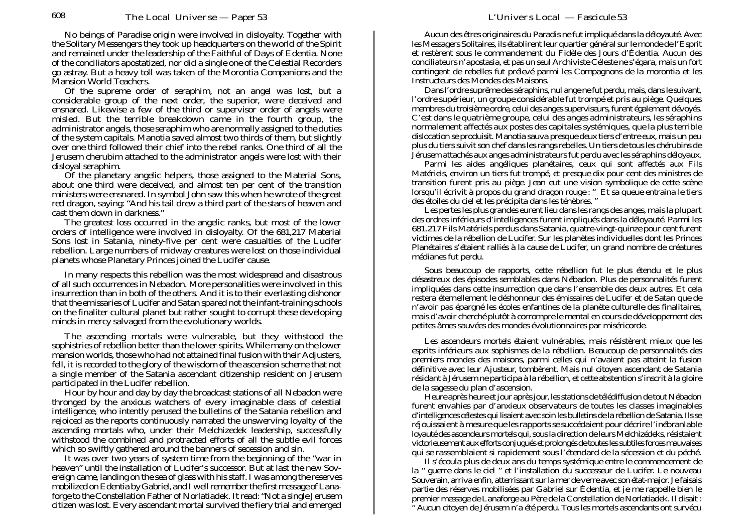No beings of Paradise origin were involved in disloyalty. Together with the Solitary Messengers they took up headquarters on the world of the Spirit and remained under the leadership of the Faithful of Days of Edentia. None of the conciliators apostatized, nor did a single one of the Celestial Recorders go astray. But a heavy toll was taken of the Morontia Companions and the Mansion World Teachers.

Of the supreme order of seraphim, not an angel was lost, but a considerable group of the next order, the superior, were deceived and ensnared. Likewise a few of the third or supervisor order of angels were misled. But the terrible breakdown came in the fourth group, the administrator angels, those seraphim who are normally assigned to the duties of the system capitals. Manotia saved almost two thirds of them, but slightly over one third followed their chief into the rebel ranks. One third of all the Jerusem cherubim attached to the administrator angels were lost with their disloyal seraphim.

Of the planetary angelic helpers, those assigned to the Material Sons, about one third were deceived, and almost ten per cent of the transition ministers were ensnared. In symbol John saw this when he wrote of the great red dragon, saying: "And his tail drew a third part of the stars of heaven and cast them down in darkness."

The greatest loss occurred in the angelic ranks, but most of the lower orders of intelligence were involved in disloyalty. Of the 681,217 Material Sons lost in Satania, ninety-five per cent were casualties of the Lucifer rebellion. Large numbers of midway creatures were lost on those individual planets whose Planetary Princes joined the Lucifer cause.

In many respects this rebellion was the most widespread and disastrous of all such occurrences in Nebadon. More personalities were involved in this insurrection than in both of the others. And it is to their everlasting dishonor that the emissaries of Lucifer and Satan spared not the infant-training schools on the finaliter cultural planet but rather sought to corrupt these developing minds in mercy salvaged from the evolutionary worlds.

The ascending mortals were vulnerable, but they withstood the sophistries of rebellion better than the lower spirits. While many on the lower mansion worlds, those who had not attained final fusion with their Adjusters, fell, it is recorded to the glory of the wisdom of the ascension scheme that not a single member of the Satania ascendant citizenship resident on Jerusem participated in the Lucifer rebellion.

Hour by hour and day by day the broadcast stations of all Nebadon were thronged by the anxious watchers of every imaginable class of celestial intelligence, who intently perused the bulletins of the Satania rebellion and rejoiced as the reports continuously narrated the unswerving loyalty of the ascending mortals who, under their Melchizedek leadership, successfully withstood the combined and protracted efforts of all the subtle evil forces which so swiftly gathered around the banners of secession and sin.

It was over two years of system time from the beginning of the "war in heaven" until the installation of Lucifer's successor. But at last the new Sovereign came, landing on the sea of glass with his staff. I was among the reserves mobilized on Edentia by Gabriel, and I well remember the first message of Lanaforge to the Constellation Father of Norlatiadek. It read: "Not a single Jerusem citizen was lost. Every ascendant mortal survived the fiery trial and emerged

Aucun des êtres originaires du Paradis ne fut impliqué dans la déloyauté. Avec les Messagers Solitaires, ils établirent leur quartier général sur le monde de l'Esprit et restèrent sous le commandement du Fidèle des Jours d'Édentia. Aucun des conciliateurs n'apostasia, et pas un seul Archiviste Céleste ne s'égara, mais un fort contingent de rebelles fut prélevé parmi les Compagnons de la morontia et les Instructeurs des Mondes des Maisons.

Dans l'ordre suprême des séraphins, nul ange ne fut perdu, mais, dans le suivant, l'ordre supérieur, un groupe considérable fut trompé et pris au piège. Quelques membres du troisième ordre, celui des anges superviseurs, furent également dévoyés. C'est dans le quatrième groupe, celui des anges administrateurs, les séraphins normalement affectés aux postes des capitales systémiques, que la plus terrible dislocation se produisit. Manotia sauva presque deux tiers d'entre eux, mais un peu plus du tiers suivit son chef dans les rangs rebelles. Un tiers de tous les chérubins de Jérusem attachés aux anges administrateurs fut perdu avec les séraphins déloyaux.

Parmi les aides angéliques planétaires, ceux qui sont affectés aux Fils Matériels, environ un tiers fut trompé, et presque dix pour cent des ministres de transition furent pris au piège. Jean eut une vision symbolique de cette scène lorsqu'il écrivit à propos du grand dragon rouge : " Et sa queue entraina le tiers des étoiles du ciel et les précipita dans les ténèbres. "

Les pertes les plus grandes eurent lieu dans les rangs des anges, mais la plupart des ordres inférieurs d'intelligences furent impliqués dans la déloyauté. Parmi les 681.217 Fils Matériels perdus dans Satania, quatre-vingt-quinze pour cent furent victimes de la rébellion de Lucifer. Sur les planètes individuelles dont les Princes Planétaires s'étaient ralliés à la cause de Lucifer, un grand nombre de créatures médianes fut perdu.

Sous beaucoup de rapports, cette rébellion fut le plus étendu et le plus désastreux des épisodes semblables dans Nébadon. Plus de personnalités furent impliquées dans cette insurrection que dans l'ensemble des deux autres. Et cela restera éternellement le déshonneur des émissaires de Lucifer et de Satan que de n'avoir pas épargné les écoles enfantines de la planète culturelle des finalitaires, mais d'avoir cherché plutôt à corrompre le mental en cours de développement des petites âmes sauvées des mondes évolutionnaires par miséricorde.

Les ascendeurs mortels étaient vulnérables, mais résistèrent mieux que les esprits inférieurs aux sophismes de la rébellion. Beaucoup de personnalités des premiers mondes des maisons, parmi celles qui n'avaient pas atteint la fusion définitive avec leur Ajusteur, tombèrent. Mais nul citoyen ascendant de Satania résidant à Jérusem ne participa à la rébellion, et cette abstention s'inscrit à la gloire de la sagesse du plan d'ascension.

Heure après heure et jour après jour, les stations de télédiffusion de tout Nébadon furent envahies par d'anxieux observateurs de toutes les classes imaginables d'intelligences célestes qui lisaient avec soin les bulletins de la rébellion de Satania. Ils se réjouissaient à mesure que les rapports se succédaient pour décrire l'inébranlable loyauté des ascendeurs mortels qui, sous la direction de leurs Melchizédeks, résistaient victorieusement aux efforts conjugués et prolongés de toutes les subtiles forces mauvaises qui se rassemblaient si rapidement sous l'étendard de la sécession et du péché.

Il s'écoula plus de deux ans du temps systémique entre le commencement de la " guerre dans le ciel " et l'installation du successeur de Lucifer. Le nouveau<br>Souverain, arriva enfin, atterrissant sur la mer de verre avec son état-major. Je faisais partie des réserves mobilisées par Gabriel sur Édentia, et je me rappelle bien le premier message de Lanaforge au Père de la Constellation de Norlatiadek. Il disait : " Aucun citoyen de Jérusem n'a été perdu. Tous les mortels ascendants ont survécu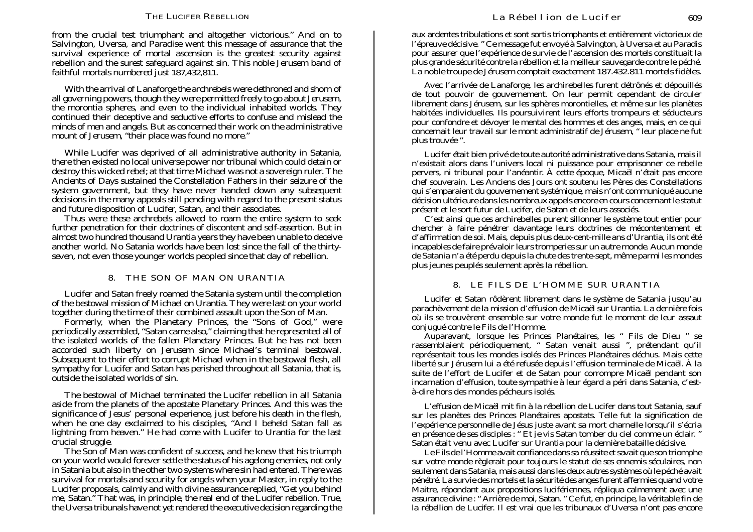from the crucial test triumphant and altogether victorious." And on to Salvington, Uversa, and Paradise went this message of assurance that the survival experience of mortal ascension is the greatest security against rebellion and the surest safeguard against sin. This noble Jerusem band of faithful mortals numbered just 187,432,811.

With the arrival of Lanaforge the archrebels were dethroned and shorn of all governing powers, though they were permitted freely to go about Jerusem, the morontia spheres, and even to the individual inhabited worlds. They continued their deceptive and seductive efforts to confuse and mislead the minds of men and angels. But as concerned their work on the administrative mount of Jerusem, "their place was found no more."

While Lucifer was deprived of all administrative authority in Satania, there then existed no local universe power nor tribunal which could detain or destroy this wicked rebel; at that time Michael was not a sovereign ruler. The Ancients of Days sustained the Constellation Fathers in their seizure of the system government, but they have never handed down any subsequent decisions in the many appeals still pending with regard to the present status and future disposition of Lucifer, Satan, and their associates.

Thus were these archrebels allowed to roam the entire system to seek further penetration for their doctrines of discontent and self-assertion. But in almost two hundred thousand Urantia years they have been unable to deceive another world. No Satania worlds have been lost since the fall of the thirtyseven, not even those younger worlds peopled since that day of rebellion.

#### 8. THE SON OF MAN ON URANTIA

Lucifer and Satan freely roamed the Satania system until the completion of the bestowal mission of Michael on Urantia. They were last on your world together during the time of their combined assault upon the Son of Man.

Formerly, when the Planetary Princes, the "Sons of God," were periodically assembled, "Satan came also," claiming that he represented all of the isolated worlds of the fallen Planetary Princes. But he has not been accorded such liberty on Jerusem since Michael's terminal bestowal. Subsequent to their effort to corrupt Michael when in the bestowal flesh, all sympathy for Lucifer and Satan has perished throughout all Satania, that is, outside the isolated worlds of sin.

The bestowal of Michael terminated the Lucifer rebellion in all Satania aside from the planets of the apostate Planetary Princes. And this was the significance of Jesus' personal experience, just before his death in the flesh, when he one day exclaimed to his disciples, "And I beheld Satan fall as lightning from heaven." He had come with Lucifer to Urantia for the last crucial struggle.

The Son of Man was confident of success, and he knew that his triumph on your world would forever settle the status of his agelong enemies, not only in Satania but also in the other two systems where sin had entered. There was survival for mortals and security for angels when your Master, in reply to the Lucifer proposals, calmly and with divine assurance replied, "Get you behind me, Satan." That was, in principle, the real end of the Lucifer rebellion. True, the Uversa tribunals have not yet rendered the executive decision regarding the

#### La Rébellion de Lucifer 609

aux ardentes tribulations et sont sortis triomphants et entièrement victorieux de l'épreuve décisive. " Ce message fut envoyé à Salvington, à Uversa et au Paradis pour assurer que l'expérience de survie de l'ascension des mortels constituait la plus grande sécurité contre la rébellion et la meilleur sauvegarde contre le péché. La noble troupe de Jérusem comptait exactement 187.432.811 mortels fidèles.

Avec l'arrivée de Lanaforge, les archirebelles furent détrônés et dépouillés de tout pouvoir de gouvernement. On leur permit cependant de circuler librement dans Jérusem, sur les sphères morontielles, et même sur les planètes habitées individuelles. Ils poursuivirent leurs efforts trompeurs et séducteurs pour confondre et dévoyer le mental des hommes et des anges, mais, en ce qui concernait leur travail sur le mont administratif de Jérusem, " leur place ne fut plus trouvée ".

Lucifer était bien privé de toute autorité administrative dans Satania, mais il n'existait alors dans l'univers local ni puissance pour emprisonner ce rebelle pervers, ni tribunal pour l'anéantir. À cette époque, Micaël n'était pas encore chef souverain. Les Anciens des Jours ont soutenu les Pères des Constellations qui s'emparaient du gouvernement systémique, mais n'ont communiqué aucune décision ultérieure dans les nombreux appels encore en cours concernant le statut présent et le sort futur de Lucifer, de Satan et de leurs associés.

C'est ainsi que ces archirebelles purent sillonner le système tout entier pour chercher à faire pénétrer davantage leurs doctrines de mécontentement et d'affirmation de soi. Mais, depuis plus deux-cent-mille ans d'Urantia, ils ont été incapables de faire prévaloir leurs tromperies sur un autre monde. Aucun monde de Satania n'a été perdu depuis la chute des trente-sept, même parmi les mondes plus jeunes peuplés seulement après la rébellion.

#### 8. LE FILS DE L'HOMME SUR URANTIA

Lucifer et Satan rôdèrent librement dans le système de Satania jusqu'au parachèvement de la mission d'effusion de Micaël sur Urantia. La dernière fois où ils se trouvèrent ensemble sur votre monde fut le moment de leur assaut conjugué contre le Fils de l'Homme.

Auparavant, lorsque les Princes Planétaires, les " Fils de Dieu " se rassemblaient périodiquement, " Satan venait aussi ", prétendant qu'il représentait tous les mondes isolés des Princes Planétaires déchus. Mais cette liberté sur Jérusem lui a été refusée depuis l'effusion terminale de Micaël. À la suite de l'effort de Lucifer et de Satan pour corrompre Micaël pendant son incarnation d'effusion, toute sympathie à leur égard a péri dans Satania, c'està-dire hors des mondes pécheurs isolés.

L'effusion de Micaël mit fin à la rébellion de Lucifer dans tout Satania, sauf sur les planètes des Princes Planétaires apostats. Telle fut la signification de l'expérience personnelle de Jésus juste avant sa mort charnelle lorsqu'il s'écria en présence de ses disciples : " Et je vis Satan tomber du ciel comme un éclair. " Satan était venu avec Lucifer sur Urantia pour la dernière bataille décisive.

Le Fils de l'Homme avait confiance dans sa réussite et savait que son triomphe sur votre monde règlerait pour toujours le statut de ses ennemis séculaires, non seulement dans Satania, mais aussi dans les deux autres systèmes où le péché avait pénétré. La survie des mortels et la sécurité des anges furent affermies quand votre Maitre, répondant aux propositions lucifériennes, répliqua calmement avec une assurance divine : " Arrière de moi, Satan. " Ce fut, en principe, la véritable fin de la rébellion de Lucifer. Il est vrai que les tribunaux d'Uversa n'ont pas encore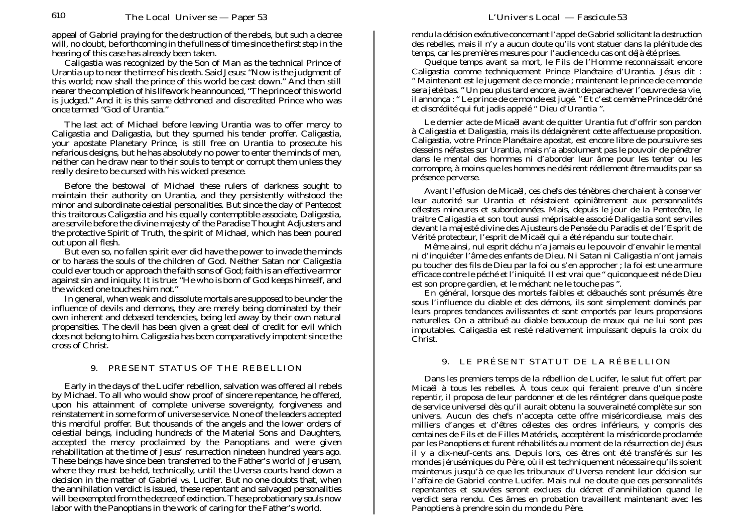appeal of Gabriel praying for the destruction of the rebels, but such a decree will, no doubt, be forthcoming in the fullness of time since the first step in the hearing of this case has already been taken.

Caligastia was recognized by the Son of Man as the technical Prince of Urantia up to near the time of his death. Said Jesus: "Now is the judgment of this world; now shall the prince of this world be cast down." And then still nearer the completion of his lifework he announced, "The prince of this world is judged." And it is this same dethroned and discredited Prince who was once termed "God of Urantia."

The last act of Michael before leaving Urantia was to offer mercy to Caligastia and Daligastia, but they spurned his tender proffer. Caligastia, your apostate Planetary Prince, is still free on Urantia to prosecute his nefarious designs, but he has absolutely no power to enter the minds of men, neither can he draw near to their souls to tempt or corrupt them unless they really desire to be cursed with his wicked presence.

Before the bestowal of Michael these rulers of darkness sought to maintain their authority on Urantia, and they persistently withstood the minor and subordinate celestial personalities. But since the day of Pentecost this traitorous Caligastia and his equally contemptible associate, Daligastia, are servile before the divine majesty of the Paradise Thought Adjusters and the protective Spirit of Truth, the spirit of Michael, which has been poured out upon all flesh.

But even so, no fallen spirit ever did have the power to invade the minds or to harass the souls of the children of God. Neither Satan nor Caligastia could ever touch or approach the faith sons of God; faith is an effective armor against sin and iniquity. It is true: "He who is born of God keeps himself, and the wicked one touches him not."

In general, when weak and dissolute mortals are supposed to be under the influence of devils and demons, they are merely being dominated by their own inherent and debased tendencies, being led away by their own natural propensities. The devil has been given a great deal of credit for evil which does not belong to him. Caligastia has been comparatively impotent since the cross of Christ.

## 9. PRESENT STATUS OF THE REBELLION

Early in the days of the Lucifer rebellion, salvation was offered all rebels by Michael. To all who would show proof of sincere repentance, he offered, upon his attainment of complete universe sovereignty, forgiveness and reinstatement in some form of universe service. None of the leaders accepted this merciful proffer. But thousands of the angels and the lower orders of celestial beings, including hundreds of the Material Sons and Daughters, accepted the mercy proclaimed by the Panoptians and were given rehabilitation at the time of Jesus' resurrection nineteen hundred years ago. These beings have since been transferred to the Father's world of Jerusem, where they must be held, technically, until the Uversa courts hand down a decision in the matter of Gabriel *vs.* Lucifer. But no one doubts that, when the annihilation verdict is issued, these repentant and salvaged personalities will be exempted from the decree of extinction. These probationary souls now labor with the Panoptians in the work of caring for the Father's world.

rendu la décision exécutive concernant l'appel de Gabriel sollicitant la destruction des rebelles, mais il n'y a aucun doute qu'ils vont statuer dans la plénitude des temps, car les premières mesures pour l'audience du cas ont déjà été prises.

Quelque temps avant sa mort, le Fils de l'Homme reconnaissait encore Caligastia comme techniquement Prince Planétaire d'Urantia. Jésus dit : " Maintenant est le jugement de ce monde ; maintenant le prince de ce monde sera jeté bas. " Un peu plus tard encore, avant de parachever l'oeuvre de sa vie, il annonça : " Le prince de ce monde est jugé. " Et c'est ce même Prince détrôné et discrédité qui fut jadis appelé " Dieu d'Urantia ".

Le dernier acte de Micaël avant de quitter Urantia fut d'offrir son pardon à Caligastia et Daligastia, mais ils dédaignèrent cette affectueuse proposition. Caligastia, votre Prince Planétaire apostat, est encore libre de poursuivre ses desseins néfastes sur Urantia, mais n'a absolument pas le pouvoir de pénétrer dans le mental des hommes ni d'aborder leur âme pour les tenter ou les corrompre, à moins que les hommes ne désirent réellement être maudits par sa présence perverse.

Avant l'effusion de Micaël, ces chefs des ténèbres cherchaient à conserver leur autorité sur Urantia et résistaient opiniâtrement aux personnalités célestes mineures et subordonnées. Mais, depuis le jour de la Pentecôte, le traitre Caligastia et son tout aussi méprisable associé Daligastia sont serviles devant la majesté divine des Ajusteurs de Pensée du Paradis et de l'Esprit de Vérité protecteur, l'esprit de Micaël qui a été répandu sur toute chair.

Même ainsi, nul esprit déchu n'a jamais eu le pouvoir d'envahir le mental ni d'inquiéter l'âme des enfants de Dieu. Ni Satan ni Caligastia n'ont jamais pu toucher des fils de Dieu par la foi ou s'en approcher ; la foi est une armure efficace contre le péché et l'iniquité. Il est vrai que " quiconque est né de Dieu est son propre gardien, et le méchant ne le touche pas ".

En général, lorsque des mortels faibles et débauchés sont présumés être sous l'influence du diable et des démons, ils sont simplement dominés par leurs propres tendances avilissantes et sont emportés par leurs propensions naturelles. On a attribué au diable beaucoup de maux qui ne lui sont pas imputables. Caligastia est resté relativement impuissant depuis la croix du Christ.

## 9. LE PRÉSENT STATUT DE LA RÉBELLION

Dans les premiers temps de la rébellion de Lucifer, le salut fut offert par Micaël à tous les rebelles. À tous ceux qui feraient preuve d'un sincère repentir, il proposa de leur pardonner et de les réintégrer dans quelque poste de service universel dès qu'il aurait obtenu la souveraineté complète sur son univers. Aucun des chefs n'accepta cette offre miséricordieuse, mais des milliers d'anges et d'êtres célestes des ordres inférieurs, y compris des centaines de Fils et de Filles Matériels, acceptèrent la miséricorde proclamée par les Panoptiens et furent réhabilités au moment de la résurrection de Jésus il y a dix-neuf-cents ans. Depuis lors, ces êtres ont été transférés sur les mondes jérusémiques du Père, où il est techniquement nécessaire qu'ils soient maintenus jusqu'à ce que les tribunaux d'Uversa rendent leur décision sur l'affaire de Gabriel *contre* Lucifer. Mais nul ne doute que ces personnalités repentantes et sauvées seront exclues du décret d'annihilation quand le verdict sera rendu. Ces âmes en probation travaillent maintenant avec les Panoptiens à prendre soin du monde du Père.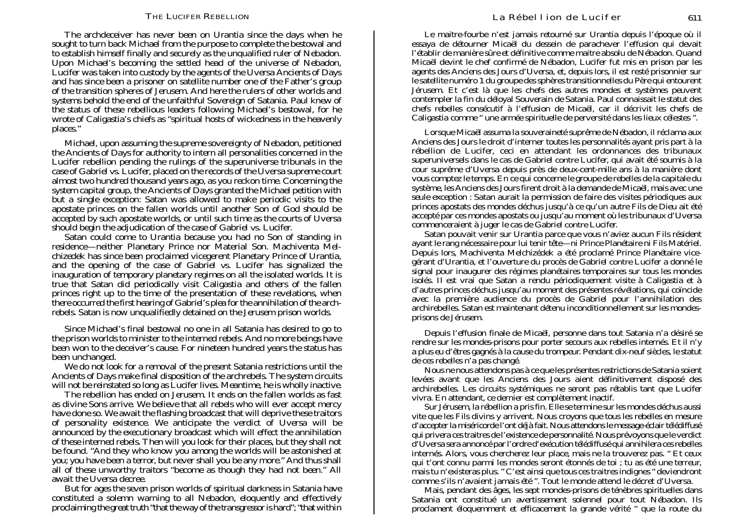The archdeceiver has never been on Urantia since the days when he sought to turn back Michael from the purpose to complete the bestowal and to establish himself finally and securely as the unqualified ruler of Nebadon. Upon Michael's becoming the settled head of the universe of Nebadon, Lucifer was taken into custody by the agents of the Uversa Ancients of Days and has since been a prisoner on satellite number one of the Father's group of the transition spheres of Jerusem. And here the rulers of other worlds and systems behold the end of the unfaithful Sovereign of Satania. Paul knew of the status of these rebellious leaders following Michael's bestowal, for he wrote of Caligastia's chiefs as "spiritual hosts of wickedness in the heavenly places."

Michael, upon assuming the supreme sovereignty of Nebadon, petitioned the Ancients of Days for authority to intern all personalities concerned in the Lucifer rebellion pending the rulings of the superuniverse tribunals in the case of Gabriel *vs.* Lucifer, placed on the records of the Uversa supreme court almost two hundred thousand years ago, as you reckon time. Concerning the system capital group, the Ancients of Days granted the Michael petition with but a single exception: Satan was allowed to make periodic visits to the apostate princes on the fallen worlds until another Son of God should be accepted by such apostate worlds, or until such time as the courts of Uversa should begin the adjudication of the case of Gabriel *vs.* Lucifer.

Satan could come to Urantia because you had no Son of standing in residence—neither Planetary Prince nor Material Son. Machiventa Melchizedek has since been proclaimed vicegerent Planetary Prince of Urantia, and the opening of the case of Gabriel *vs.* Lucifer has signalized the inauguration of temporary planetary regimes on all the isolated worlds. It is true that Satan did periodically visit Caligastia and others of the fallen princes right up to the time of the presentation of these revelations, when there occurred the first hearing of Gabriel's plea for the annihilation of the archrebels. Satan is now unqualifiedly detained on the Jerusem prison worlds.

Since Michael's final bestowal no one in all Satania has desired to go to the prison worlds to minister to the interned rebels. And no more beings have been won to the deceiver's cause. For nineteen hundred years the status has been unchanged.

We do not look for a removal of the present Satania restrictions until the Ancients of Days make final disposition of the archrebels. The system circuits will not be reinstated so long as Lucifer lives. Meantime, he is wholly inactive.

The rebellion has ended on Jerusem. It ends on the fallen worlds as fast as divine Sons arrive. We believe that all rebels who will ever accept mercy have done so. We await the flashing broadcast that will deprive these traitors of personality existence. We anticipate the verdict of Uversa will be announced by the executionary broadcast which will effect the annihilation of these interned rebels. Then will you look for their places, but they shall not be found. "And they who know you among the worlds will be astonished at you; you have been a terror, but never shall you be any more." And thus shall all of these unworthy traitors "become as though they had not been." All await the Uversa decree.

But for ages the seven prison worlds of spiritual darkness in Satania have constituted a solemn warning to all Nebadon, eloquently and effectively proclaiming the great truth "that the way of the transgressor is hard"; "that within

Le maitre-fourbe n'est jamais retourné sur Urantia depuis l'époque où il essaya de détourner Micaël du dessein de parachever l'effusion qui devait l'établir de manière sûre et définitive comme maitre absolu de Nébadon. Quand Micaël devint le chef confirmé de Nébadon, Lucifer fut mis en prison par les agents des Anciens des Jours d'Uversa, et, depuis lors, il est resté prisonnier sur le satellite numéro 1 du groupe des sphères transitionnelles du Père qui entourent Jérusem. Et c'est là que les chefs des autres mondes et systèmes peuvent contempler la fin du déloyal Souverain de Satania. Paul connaissait le statut des chefs rebelles consécutif à l'effusion de Micaël, car il décrivit les chefs de Caligastia comme " une armée spirituelle de perversité dans les lieux célestes ".

Lorsque Micaël assuma la souveraineté suprême de Nébadon, il réclama aux Anciens des Jours le droit d'interner toutes les personnalités ayant pris part à la rébellion de Lucifer, ceci en attendant les ordonnances des tribunaux superuniversels dans le cas de Gabriel *contre* Lucifer, qui avait été soumis à la cour suprême d'Uversa depuis près de deux-cent-mille ans à la manière dont vous comptez le temps. En ce qui concerne le groupe de rebelles de la capitale du système, les Anciens des Jours firent droit à la demande de Micaël, mais avec une seule exception : Satan aurait la permission de faire des visites périodiques aux princes apostats des mondes déchus jusqu'à ce qu'un autre Fils de Dieu ait été accepté par ces mondes apostats ou jusqu'au moment où les tribunaux d'Uversa commenceraient à juger le cas de Gabriel *contre* Lucifer.

Satan pouvait venir sur Urantia parce que vous n'aviez aucun Fils résident ayant le rang nécessaire pour lui tenir tête—ni Prince Planétaire ni Fils Matériel. Depuis lors, Machiventa Melchizédek a été proclamé Prince Planétaire vicegérant d'Urantia, et l'ouverture du procès de Gabriel *contre* Lucifer a donné le signal pour inaugurer des régimes planétaires temporaires sur tous les mondes isolés. Il est vrai que Satan a rendu périodiquement visite à Caligastia et à d'autres princes déchus jusqu'au moment des présentes révélations, qui coïncide avec la première audience du procès de Gabriel pour l'annihilation des archirebelles. Satan est maintenant détenu inconditionnellement sur les mondesprisons de Jérusem.

Depuis l'effusion finale de Micaël, personne dans tout Satania n'a désiré se rendre sur les mondes-prisons pour porter secours aux rebelles internés. Et il n'y a plus eu d'êtres gagnés à la cause du trompeur. Pendant dix-neuf siècles, le statut de ces rebelles n'a pas changé.

Nous ne nous attendons pas à ce que les présentes restrictions de Satania soient levées avant que les Anciens des Jours aient définitivement disposé des archirebelles. Les circuits systémiques ne seront pas rétablis tant que Lucifer vivra. En attendant, ce dernier est complètement inactif.

Sur Jérusem, la rébellion a pris fin. Elle se termine sur les mondes déchus aussi vite que les Fils divins y arrivent. Nous croyons que tous les rebelles en mesure d'accepter la miséricorde l'ont déjà fait. Nous attendons le message-éclair télédiffusé qui privera ces traitres de l'existence de personnalité. Nous prévoyons que le verdict d'Uversa sera annoncé par l'ordre d'exécution télédiffusé qui annihilera ces rebelles internés. Alors, vous chercherez leur place, mais ne la trouverez pas. " Et ceux qui t'ont connu parmi les mondes seront étonnés de toi ; tu as été une terreur, mais tu n'existeras plus. " C'est ainsi que tous ces traitres indignes " deviendront comme s'ils n'avaient jamais été ". Tout le monde attend le décret d'Uversa.

Mais, pendant des âges, les sept mondes-prisons de ténèbres spirituelles dans Satania ont constitué un avertissement solennel pour tout Nébadon. Ils proclament éloquemment et efficacement la grande vérité " que la route du